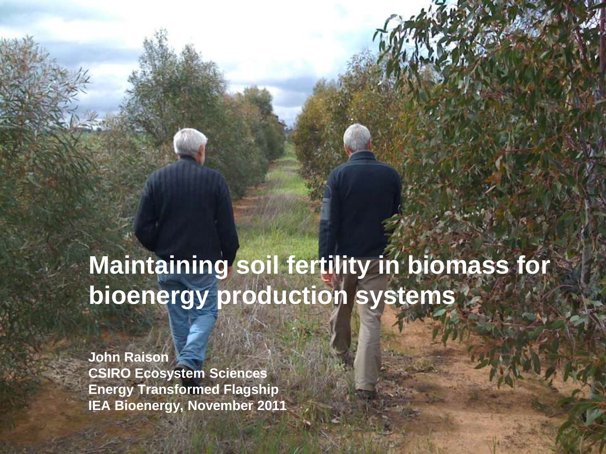#### **Maintaining soil fertility in biomass for bioenergy production systems**

**John Raison CSIRO Ecosystem Sciences Energy Transformed Flagship IEA Bioenergy, November 2011**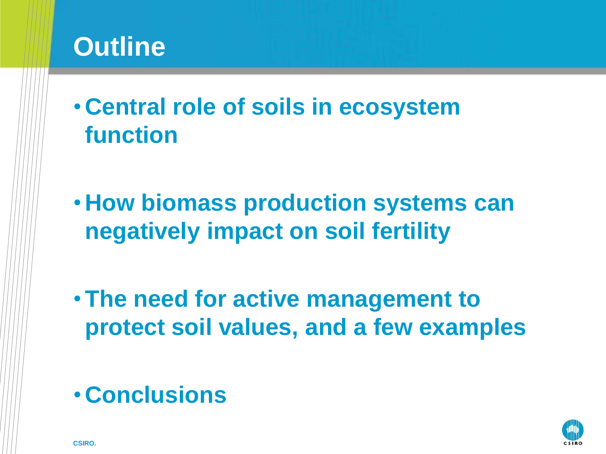#### **Outline**

- **Central role of soils in ecosystem function**
- **How biomass production systems can negatively impact on soil fertility**
- **The need for active management to protect soil values, and a few examples**

#### • **Conclusions**

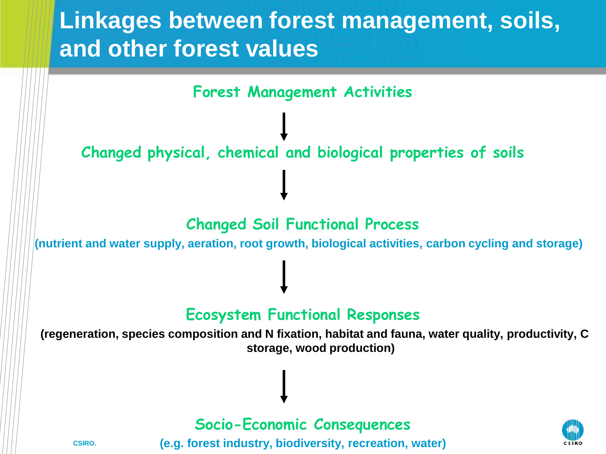#### **Linkages between forest management, soils, and other forest values**

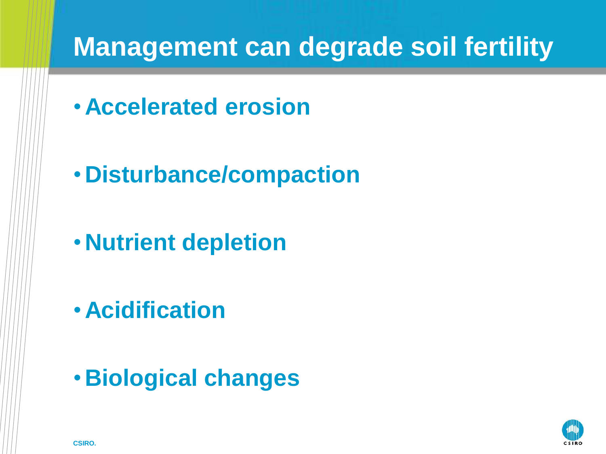#### **Management can degrade soil fertility**

- **Accelerated erosion**
- **Disturbance/compaction**
- **Nutrient depletion**
- **Acidification**
- **Biological changes**

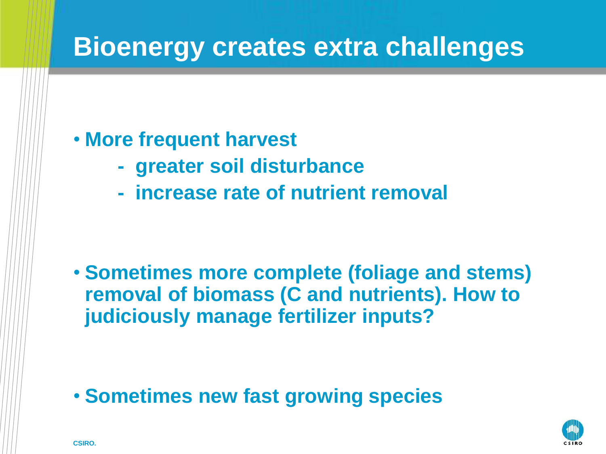#### **Bioenergy creates extra challenges**

#### • **More frequent harvest**

- **greater soil disturbance**
- **increase rate of nutrient removal**

• **Sometimes more complete (foliage and stems) removal of biomass (C and nutrients). How to judiciously manage fertilizer inputs?**

• **Sometimes new fast growing species**

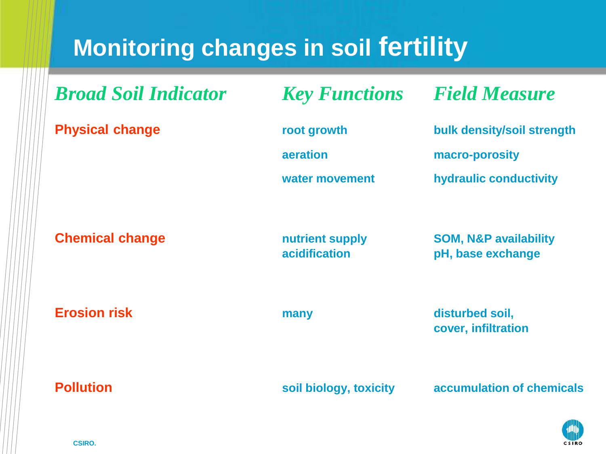#### **Monitoring changes in soil fertility**

| <b>Broad Soil Indicator</b> | <b>Key Functions</b>                      | <b>Field Measure</b>                                                   |
|-----------------------------|-------------------------------------------|------------------------------------------------------------------------|
| <b>Physical change</b>      | root growth<br>aeration<br>water movement | bulk density/soil strength<br>macro-porosity<br>hydraulic conductivity |
| <b>Chemical change</b>      | nutrient supply<br><b>acidification</b>   | <b>SOM, N&amp;P availability</b><br>pH, base exchange                  |
| <b>Erosion risk</b>         | many                                      | disturbed soil,<br>cover, infiltration                                 |
| <b>Pollution</b>            | soil biology, toxicity                    | accumulation of chemicals                                              |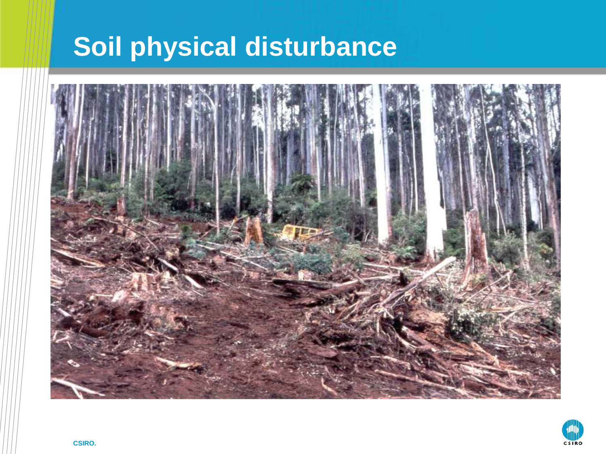### **Soil physical disturbance**



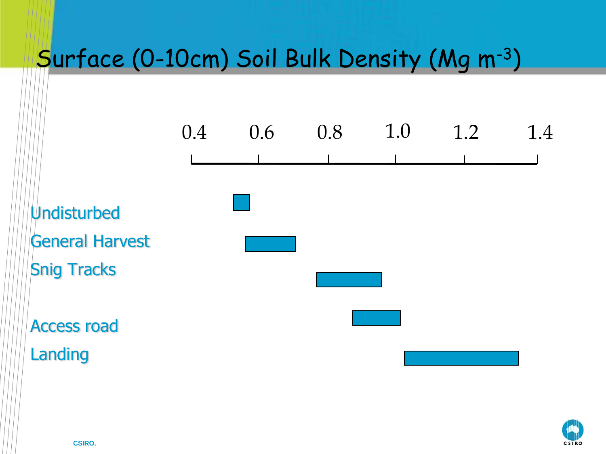#### Surface (0-10cm) Soil Bulk Density (Mg m-3)



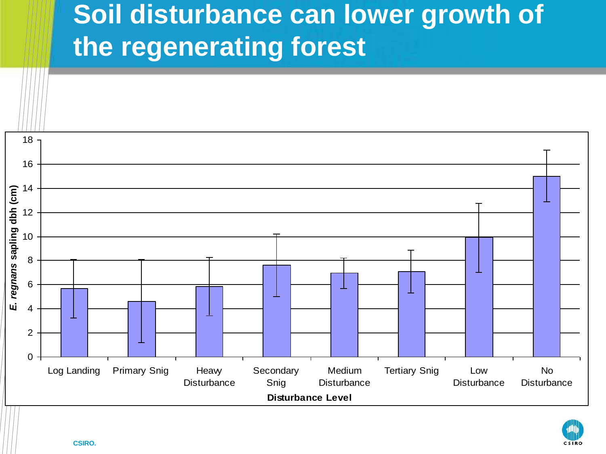## **Soil disturbance can lower growth of the regenerating forest**

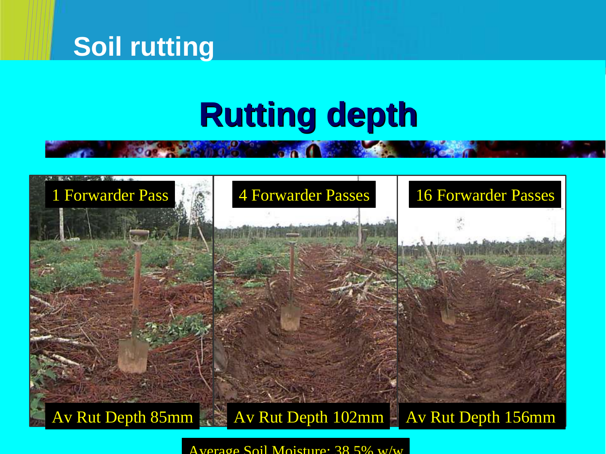#### **Soil rutting**

## **Rutting depth**



 $\Delta$ verage Soil Moisture: 38.5% w/w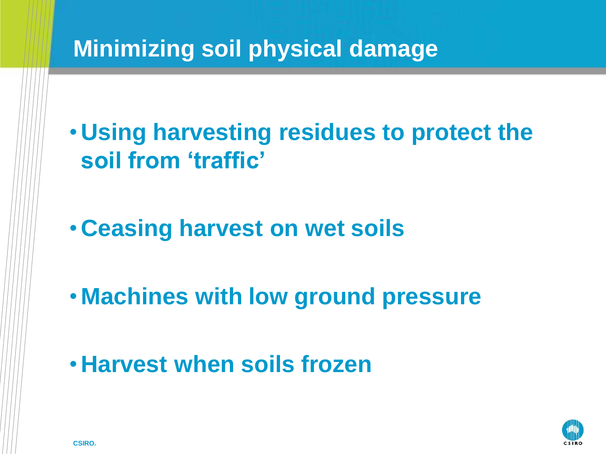#### **Minimizing soil physical damage**

• **Using harvesting residues to protect the soil from 'traffic'**

• **Ceasing harvest on wet soils**

• **Machines with low ground pressure**

• **Harvest when soils frozen**

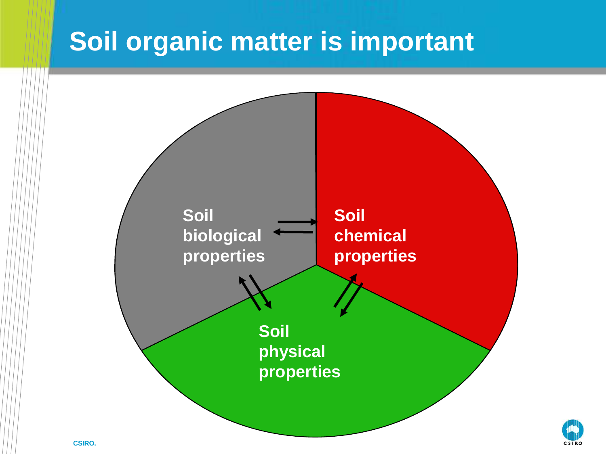#### **Soil organic matter is important**

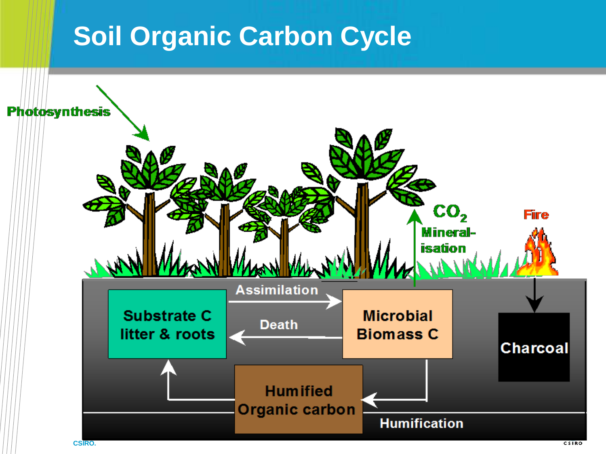#### **Soil Organic Carbon Cycle**

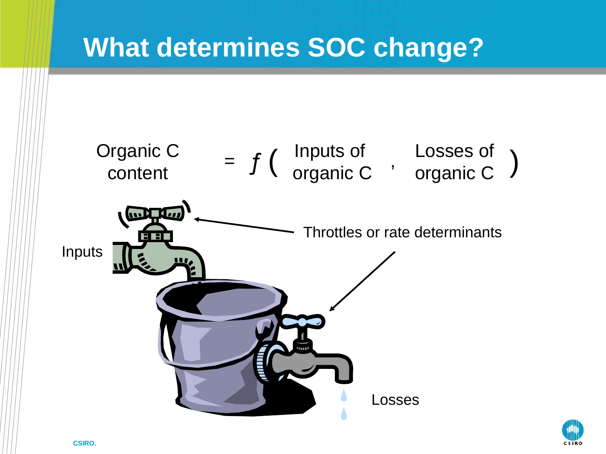#### **What determines SOC change?**



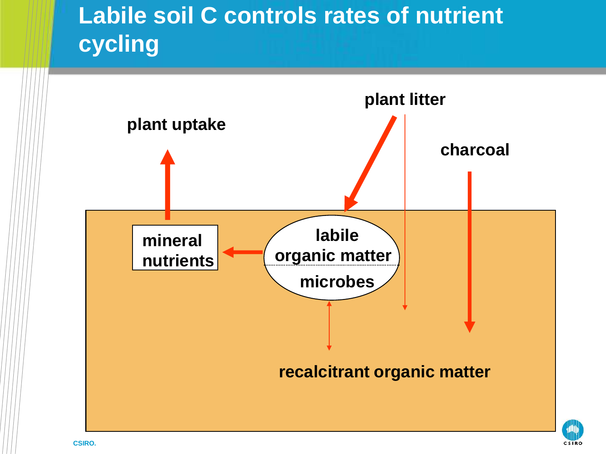#### **Labile soil C controls rates of nutrient cycling**

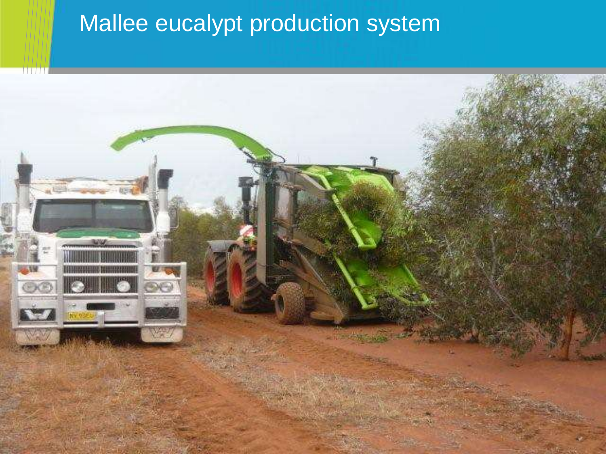#### Mallee eucalypt production system

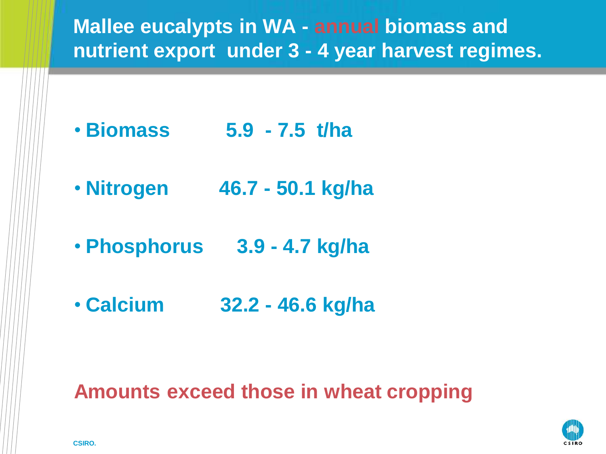

#### **Amounts exceed those in wheat cropping**

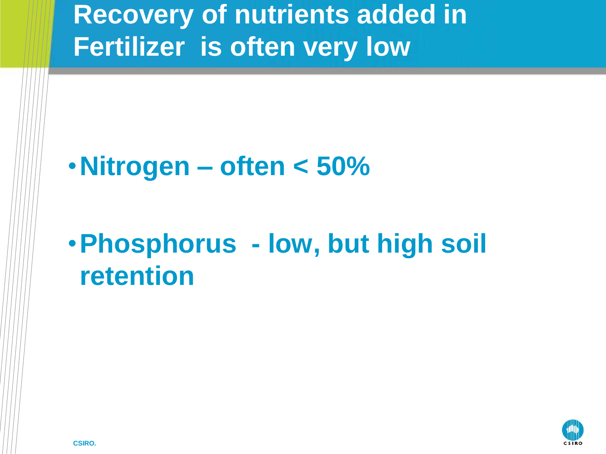### **Recovery of nutrients added in Fertilizer is often very low**

#### •**Nitrogen – often < 50%**

## •**Phosphorus - low, but high soil retention**

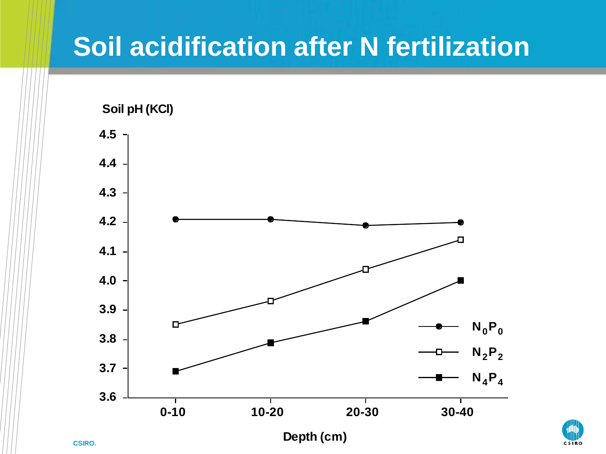#### **Soil acidification after N fertilization**



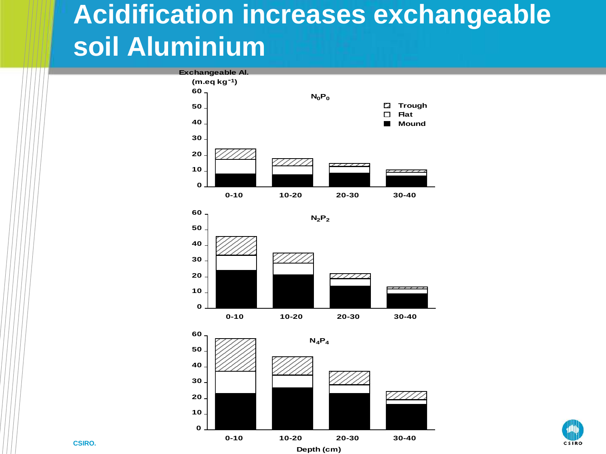### **Acidification increases exchangeable soil Aluminium**







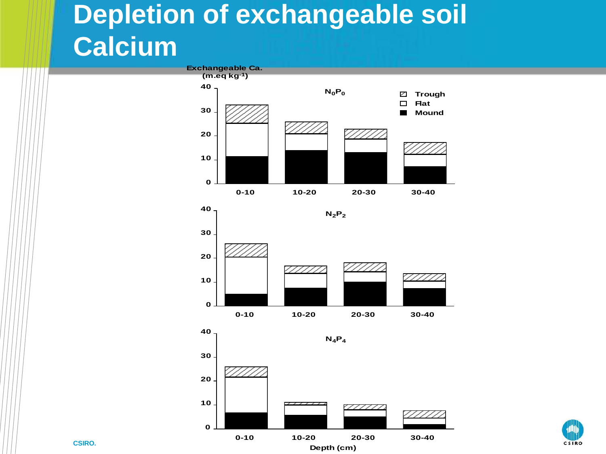## **Depletion of exchangeable soil Calcium**





**40**







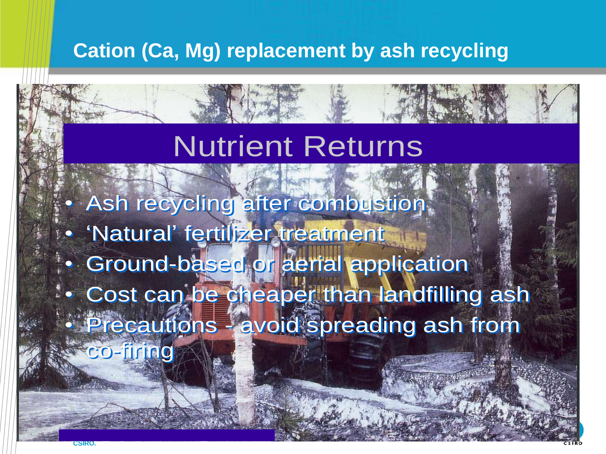#### **Cation (Ca, Mg) replacement by ash recycling**

#### Nutrient Returns

• Ash recycling after combustion • Ash recycling after combustion

- 'Natural' fertilizer treatment 'Natural' fertilizer treatment
- Ground-based or aerial application Ground-based or aerial application • Cost can be cheaper than landfilling ash • Cost can be cheaper than landfilling ash
- Precautions avoid spreading ash from

co-firing co-firing

25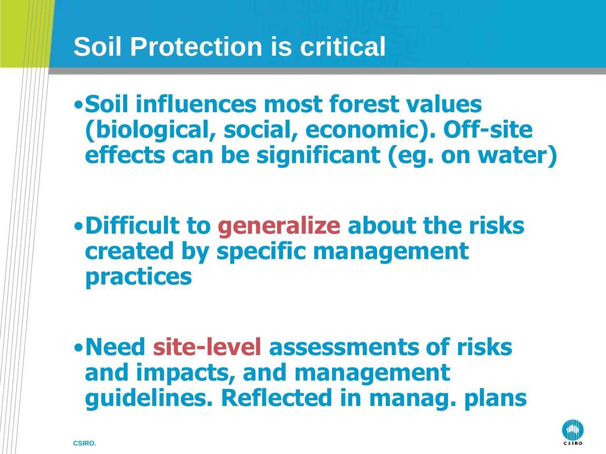#### **Soil Protection is critical**

•**Soil influences most forest values (biological, social, economic). Off-site effects can be significant (eg. on water)**

•**Difficult to generalize about the risks created by specific management practices**

•**Need site-level assessments of risks and impacts, and management guidelines. Reflected in manag. plans**

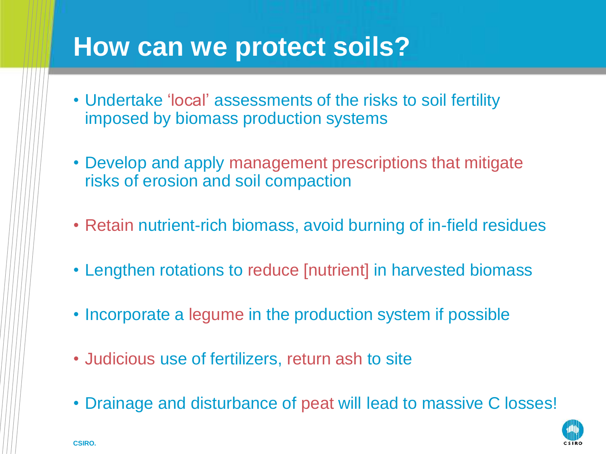#### **How can we protect soils?**

- Undertake 'local' assessments of the risks to soil fertility imposed by biomass production systems
- Develop and apply management prescriptions that mitigate risks of erosion and soil compaction
- Retain nutrient-rich biomass, avoid burning of in-field residues
- Lengthen rotations to reduce [nutrient] in harvested biomass
- Incorporate a legume in the production system if possible
- Judicious use of fertilizers, return ash to site
- Drainage and disturbance of peat will lead to massive C losses!

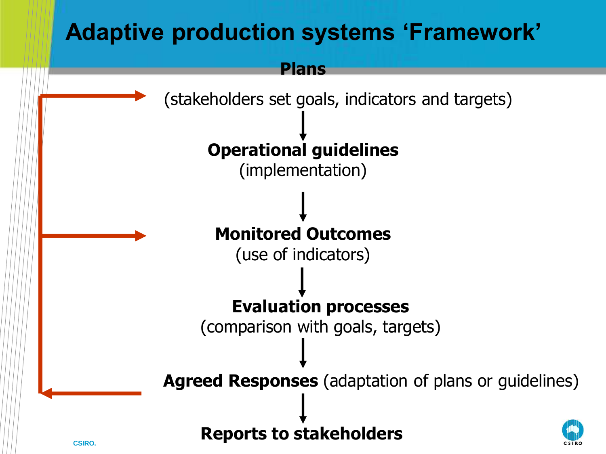#### **Adaptive production systems 'Framework'**

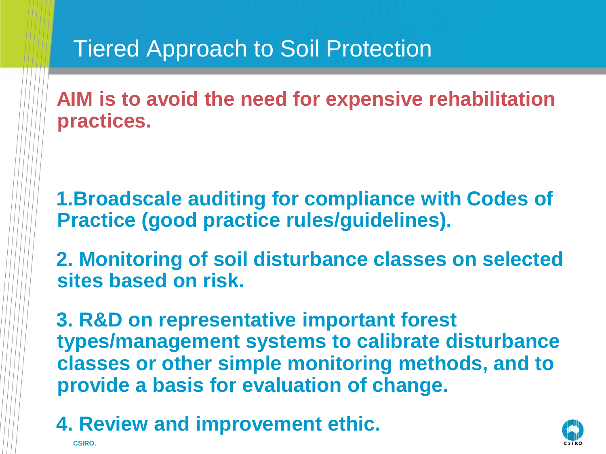#### Tiered Approach to Soil Protection

 **AIM is to avoid the need for expensive rehabilitation practices.**

 **1.Broadscale auditing for compliance with Codes of Practice (good practice rules/guidelines).**

 **2. Monitoring of soil disturbance classes on selected sites based on risk.**

 **3. R&D on representative important forest types/management systems to calibrate disturbance classes or other simple monitoring methods, and to provide a basis for evaluation of change.** 

 **4. Review and improvement ethic.**